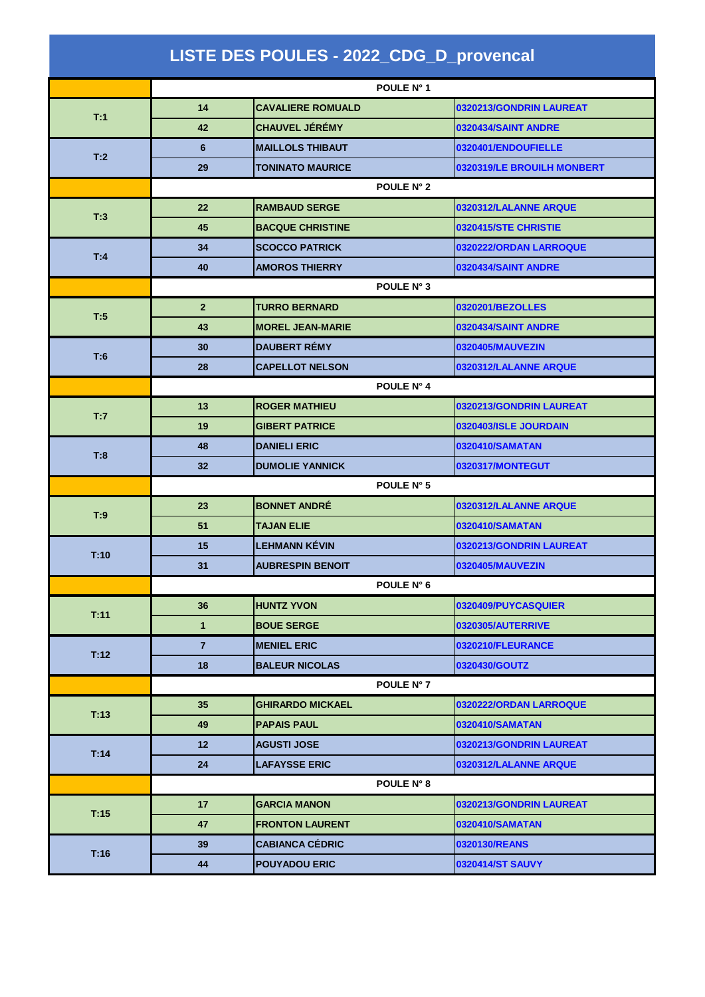| LISTE DES POULES - 2022_CDG_D_provencal |                |                          |                            |  |  |
|-----------------------------------------|----------------|--------------------------|----------------------------|--|--|
|                                         | POULE N° 1     |                          |                            |  |  |
| T:1                                     | 14             | <b>CAVALIERE ROMUALD</b> | 0320213/GONDRIN LAUREAT    |  |  |
|                                         | 42             | <b>CHAUVEL JÉRÉMY</b>    | 0320434/SAINT ANDRE        |  |  |
| T:2                                     | 6              | <b>MAILLOLS THIBAUT</b>  | 0320401/ENDOUFIELLE        |  |  |
|                                         | 29             | <b>TONINATO MAURICE</b>  | 0320319/LE BROUILH MONBERT |  |  |
|                                         | POULE N° 2     |                          |                            |  |  |
| T:3                                     | 22             | <b>RAMBAUD SERGE</b>     | 0320312/LALANNE ARQUE      |  |  |
|                                         | 45             | <b>BACQUE CHRISTINE</b>  | 0320415/STE CHRISTIE       |  |  |
| T:4                                     | 34             | <b>SCOCCO PATRICK</b>    | 0320222/ORDAN LARROQUE     |  |  |
|                                         | 40             | <b>AMOROS THIERRY</b>    | 0320434/SAINT ANDRE        |  |  |
|                                         | POULE N° 3     |                          |                            |  |  |
| T:5                                     | $\overline{2}$ | <b>TURRO BERNARD</b>     | 0320201/BEZOLLES           |  |  |
|                                         | 43             | <b>MOREL JEAN-MARIE</b>  | 0320434/SAINT ANDRE        |  |  |
| T:6                                     | 30             | <b>DAUBERT REMY</b>      | 0320405/MAUVEZIN           |  |  |
|                                         | 28             | <b>CAPELLOT NELSON</b>   | 0320312/LALANNE ARQUE      |  |  |
|                                         | POULE N° 4     |                          |                            |  |  |
| T:7                                     | 13             | <b>ROGER MATHIEU</b>     | 0320213/GONDRIN LAUREAT    |  |  |
|                                         | 19             | <b>GIBERT PATRICE</b>    | 0320403/ISLE JOURDAIN      |  |  |
| T:8                                     | 48             | <b>DANIELI ERIC</b>      | 0320410/SAMATAN            |  |  |
|                                         | 32             | <b>DUMOLIE YANNICK</b>   | 0320317/MONTEGUT           |  |  |
|                                         | POULE N° 5     |                          |                            |  |  |
| T:9                                     | 23             | <b>BONNET ANDRÉ</b>      | 0320312/LALANNE ARQUE      |  |  |
|                                         | 51             | <b>TAJAN ELIE</b>        | 0320410/SAMATAN            |  |  |
| T:10                                    | 15             | <b>LEHMANN KÉVIN</b>     | 0320213/GONDRIN LAUREAT    |  |  |
|                                         | 31             | <b>AUBRESPIN BENOIT</b>  | 0320405/MAUVEZIN           |  |  |
|                                         | POULE N° 6     |                          |                            |  |  |
| T:11                                    | 36             | <b>HUNTZ YVON</b>        | 0320409/PUYCASQUIER        |  |  |
|                                         | 1              | <b>BOUE SERGE</b>        | 0320305/AUTERRIVE          |  |  |
| T:12                                    | $\overline{7}$ | <b>MENIEL ERIC</b>       | 0320210/FLEURANCE          |  |  |
|                                         | 18             | <b>BALEUR NICOLAS</b>    | 0320430/GOUTZ              |  |  |
|                                         | POULE N° 7     |                          |                            |  |  |
| T:13                                    | 35             | <b>GHIRARDO MICKAEL</b>  | 0320222/ORDAN LARROQUE     |  |  |
|                                         | 49             | <b>PAPAIS PAUL</b>       | 0320410/SAMATAN            |  |  |
| T:14                                    | 12             | <b>AGUSTI JOSE</b>       | 0320213/GONDRIN LAUREAT    |  |  |
|                                         | 24             | <b>LAFAYSSE ERIC</b>     | 0320312/LALANNE ARQUE      |  |  |
|                                         | POULE N° 8     |                          |                            |  |  |
| T:15                                    | 17             | <b>GARCIA MANON</b>      | 0320213/GONDRIN LAUREAT    |  |  |
|                                         | 47             | <b>FRONTON LAURENT</b>   | 0320410/SAMATAN            |  |  |
| T:16                                    | 39             | <b>CABIANCA CÉDRIC</b>   | 0320130/REANS              |  |  |
|                                         | 44             | <b>POUYADOU ERIC</b>     | 0320414/ST SAUVY           |  |  |